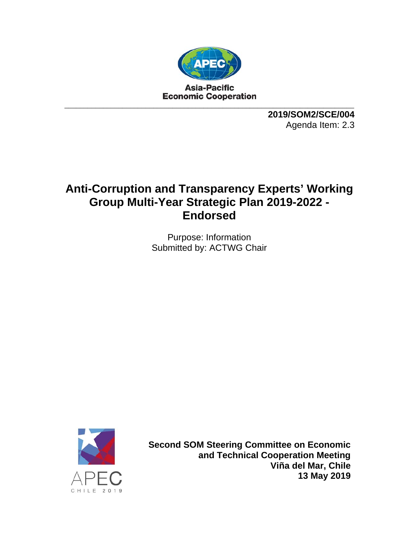

**2019/SOM2/SCE/004**  Agenda Item: 2.3

# **Anti-Corruption and Transparency Experts' Working Group Multi-Year Strategic Plan 2019-2022 - Endorsed**

Purpose: Information Submitted by: ACTWG Chair



**Second SOM Steering Committee on Economic and Technical Cooperation Meeting Viña del Mar, Chile 13 May 2019**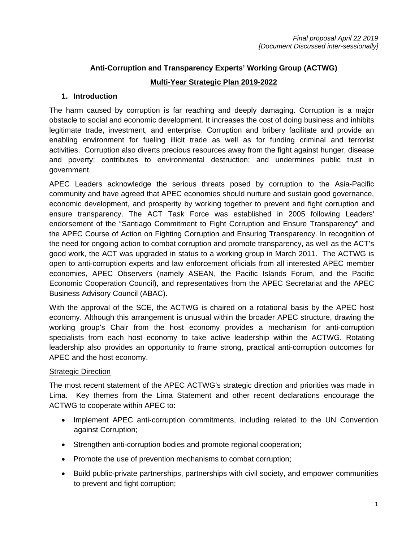# **Anti-Corruption and Transparency Experts' Working Group (ACTWG) Multi-Year Strategic Plan 2019-2022**

#### **1. Introduction**

The harm caused by corruption is far reaching and deeply damaging. Corruption is a major obstacle to social and economic development. It increases the cost of doing business and inhibits legitimate trade, investment, and enterprise. Corruption and bribery facilitate and provide an enabling environment for fueling illicit trade as well as for funding criminal and terrorist activities. Corruption also diverts precious resources away from the fight against hunger, disease and poverty; contributes to environmental destruction; and undermines public trust in government.

APEC Leaders acknowledge the serious threats posed by corruption to the Asia-Pacific community and have agreed that APEC economies should nurture and sustain good governance, economic development, and prosperity by working together to prevent and fight corruption and ensure transparency. The ACT Task Force was established in 2005 following Leaders' endorsement of the "Santiago Commitment to Fight Corruption and Ensure Transparency" and the APEC Course of Action on Fighting Corruption and Ensuring Transparency. In recognition of the need for ongoing action to combat corruption and promote transparency, as well as the ACT's good work, the ACT was upgraded in status to a working group in March 2011. The ACTWG is open to anti-corruption experts and law enforcement officials from all interested APEC member economies, APEC Observers (namely ASEAN, the Pacific Islands Forum, and the Pacific Economic Cooperation Council), and representatives from the APEC Secretariat and the APEC Business Advisory Council (ABAC).

With the approval of the SCE, the ACTWG is chaired on a rotational basis by the APEC host economy. Although this arrangement is unusual within the broader APEC structure, drawing the working group's Chair from the host economy provides a mechanism for anti-corruption specialists from each host economy to take active leadership within the ACTWG. Rotating leadership also provides an opportunity to frame strong, practical anti-corruption outcomes for APEC and the host economy.

#### Strategic Direction

The most recent statement of the APEC ACTWG's strategic direction and priorities was made in Lima. Key themes from the Lima Statement and other recent declarations encourage the ACTWG to cooperate within APEC to:

- Implement APEC anti-corruption commitments, including related to the UN Convention against Corruption;
- Strengthen anti-corruption bodies and promote regional cooperation;
- Promote the use of prevention mechanisms to combat corruption;
- Build public-private partnerships, partnerships with civil society, and empower communities to prevent and fight corruption;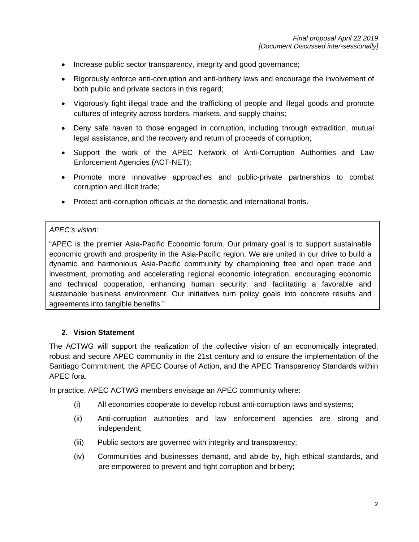- Increase public sector transparency, integrity and good governance;
- Rigorously enforce anti-corruption and anti-bribery laws and encourage the involvement of both public and private sectors in this regard;
- Vigorously fight illegal trade and the trafficking of people and illegal goods and promote cultures of integrity across borders, markets, and supply chains;
- Deny safe haven to those engaged in corruption, including through extradition, mutual legal assistance, and the recovery and return of proceeds of corruption;
- Support the work of the APEC Network of Anti-Corruption Authorities and Law Enforcement Agencies (ACT-NET);
- Promote more innovative approaches and public-private partnerships to combat corruption and illicit trade;
- Protect anti-corruption officials at the domestic and international fronts.

#### *APEC's vision:*

"APEC is the premier Asia-Pacific Economic forum. Our primary goal is to support sustainable economic growth and prosperity in the Asia-Pacific region. We are united in our drive to build a dynamic and harmonious Asia-Pacific community by championing free and open trade and investment, promoting and accelerating regional economic integration, encouraging economic and technical cooperation, enhancing human security, and facilitating a favorable and sustainable business environment. Our initiatives turn policy goals into concrete results and agreements into tangible benefits."

# **2. Vision Statement**

The ACTWG will support the realization of the collective vision of an economically integrated, robust and secure APEC community in the 21st century and to ensure the implementation of the Santiago Commitment, the APEC Course of Action, and the APEC Transparency Standards within APEC fora.

In practice, APEC ACTWG members envisage an APEC community where:

- (i) All economies cooperate to develop robust anti-corruption laws and systems;
- (ii) Anti-corruption authorities and law enforcement agencies are strong and independent;
- (iii) Public sectors are governed with integrity and transparency;
- (iv) Communities and businesses demand, and abide by, high ethical standards, and are empowered to prevent and fight corruption and bribery;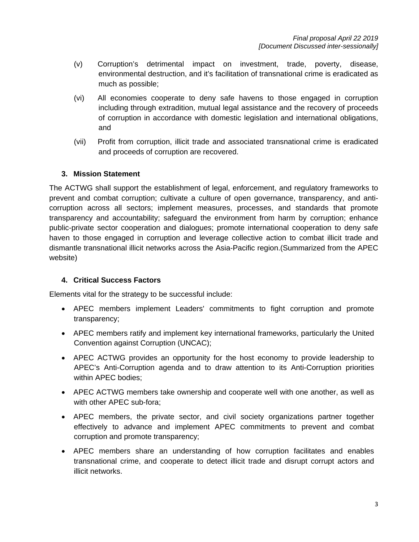- (v) Corruption's detrimental impact on investment, trade, poverty, disease, environmental destruction, and it's facilitation of transnational crime is eradicated as much as possible;
- (vi) All economies cooperate to deny safe havens to those engaged in corruption including through extradition, mutual legal assistance and the recovery of proceeds of corruption in accordance with domestic legislation and international obligations, and
- (vii) Profit from corruption, illicit trade and associated transnational crime is eradicated and proceeds of corruption are recovered.

# **3. Mission Statement**

The ACTWG shall support the establishment of legal, enforcement, and regulatory frameworks to prevent and combat corruption; cultivate a culture of open governance, transparency, and anticorruption across all sectors; implement measures, processes, and standards that promote transparency and accountability; safeguard the environment from harm by corruption; enhance public-private sector cooperation and dialogues; promote international cooperation to deny safe haven to those engaged in corruption and leverage collective action to combat illicit trade and dismantle transnational illicit networks across the Asia-Pacific region.(Summarized from the APEC website)

# **4. Critical Success Factors**

Elements vital for the strategy to be successful include:

- APEC members implement Leaders' commitments to fight corruption and promote transparency;
- APEC members ratify and implement key international frameworks, particularly the United Convention against Corruption (UNCAC);
- APEC ACTWG provides an opportunity for the host economy to provide leadership to APEC's Anti-Corruption agenda and to draw attention to its Anti-Corruption priorities within APEC bodies;
- APEC ACTWG members take ownership and cooperate well with one another, as well as with other APEC sub-fora;
- APEC members, the private sector, and civil society organizations partner together effectively to advance and implement APEC commitments to prevent and combat corruption and promote transparency;
- APEC members share an understanding of how corruption facilitates and enables transnational crime, and cooperate to detect illicit trade and disrupt corrupt actors and illicit networks.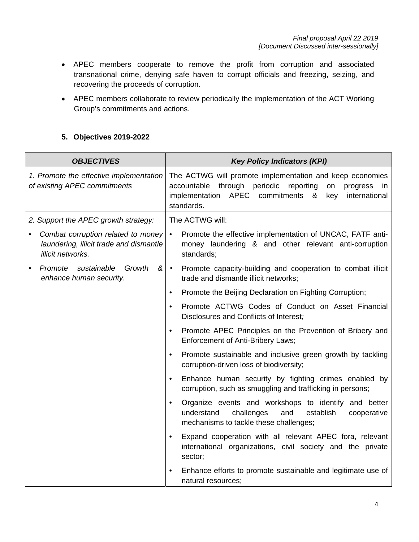- APEC members cooperate to remove the profit from corruption and associated transnational crime, denying safe haven to corrupt officials and freezing, seizing, and recovering the proceeds of corruption.
- APEC members collaborate to review periodically the implementation of the ACT Working Group's commitments and actions.

# **5. Objectives 2019-2022**

| <b>OBJECTIVES</b>                                                                                  | <b>Key Policy Indicators (KPI)</b>                                                                                                                                                                             |  |  |
|----------------------------------------------------------------------------------------------------|----------------------------------------------------------------------------------------------------------------------------------------------------------------------------------------------------------------|--|--|
| 1. Promote the effective implementation<br>of existing APEC commitments                            | The ACTWG will promote implementation and keep economies<br>through periodic reporting<br>accountable<br>on<br>progress<br>in<br>APEC commitments<br>international<br>implementation<br>8<br>key<br>standards. |  |  |
| 2. Support the APEC growth strategy:                                                               | The ACTWG will:                                                                                                                                                                                                |  |  |
| Combat corruption related to money<br>laundering, illicit trade and dismantle<br>illicit networks. | Promote the effective implementation of UNCAC, FATF anti-<br>$\bullet$<br>money laundering & and other relevant anti-corruption<br>standards;                                                                  |  |  |
| Promote sustainable<br>Growth<br>ଝ<br>enhance human security.                                      | Promote capacity-building and cooperation to combat illicit<br>$\bullet$<br>trade and dismantle illicit networks;                                                                                              |  |  |
|                                                                                                    | Promote the Beijing Declaration on Fighting Corruption;<br>$\bullet$                                                                                                                                           |  |  |
|                                                                                                    | Promote ACTWG Codes of Conduct on Asset Financial<br>$\bullet$<br>Disclosures and Conflicts of Interest;                                                                                                       |  |  |
|                                                                                                    | Promote APEC Principles on the Prevention of Bribery and<br>$\bullet$<br><b>Enforcement of Anti-Bribery Laws;</b>                                                                                              |  |  |
|                                                                                                    | Promote sustainable and inclusive green growth by tackling<br>$\bullet$<br>corruption-driven loss of biodiversity;                                                                                             |  |  |
|                                                                                                    | Enhance human security by fighting crimes enabled by<br>$\bullet$<br>corruption, such as smuggling and trafficking in persons;                                                                                 |  |  |
|                                                                                                    | Organize events and workshops to identify and better<br>$\bullet$<br>understand<br>challenges<br>establish<br>and<br>cooperative<br>mechanisms to tackle these challenges;                                     |  |  |
|                                                                                                    | Expand cooperation with all relevant APEC fora, relevant<br>$\bullet$<br>international organizations, civil society and the private<br>sector;                                                                 |  |  |
|                                                                                                    | Enhance efforts to promote sustainable and legitimate use of<br>$\bullet$<br>natural resources;                                                                                                                |  |  |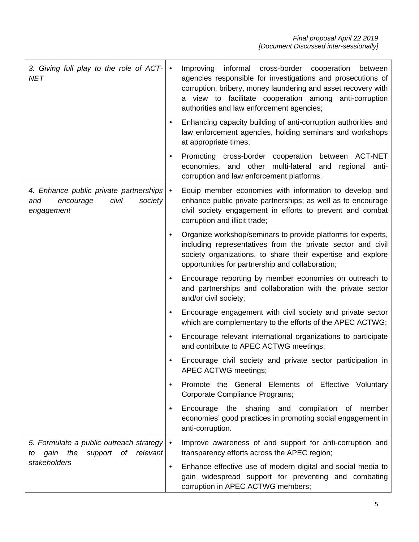| 3. Giving full play to the role of ACT-<br><b>NET</b>                                               | informal cross-border cooperation<br>Improving<br>between<br>$\bullet$<br>agencies responsible for investigations and prosecutions of<br>corruption, bribery, money laundering and asset recovery with<br>a view to facilitate cooperation among anti-corruption<br>authorities and law enforcement agencies; |
|-----------------------------------------------------------------------------------------------------|---------------------------------------------------------------------------------------------------------------------------------------------------------------------------------------------------------------------------------------------------------------------------------------------------------------|
|                                                                                                     | Enhancing capacity building of anti-corruption authorities and<br>law enforcement agencies, holding seminars and workshops<br>at appropriate times;                                                                                                                                                           |
|                                                                                                     | Promoting cross-border cooperation<br>between ACT-NET<br>economies, and other multi-lateral<br>and regional anti-<br>corruption and law enforcement platforms.                                                                                                                                                |
| 4. Enhance public private partnerships<br>civil<br>and<br>encourage<br>society<br>engagement        | Equip member economies with information to develop and<br>$\bullet$<br>enhance public private partnerships; as well as to encourage<br>civil society engagement in efforts to prevent and combat<br>corruption and illicit trade;                                                                             |
|                                                                                                     | Organize workshop/seminars to provide platforms for experts,<br>including representatives from the private sector and civil<br>society organizations, to share their expertise and explore<br>opportunities for partnership and collaboration;                                                                |
|                                                                                                     | Encourage reporting by member economies on outreach to<br>and partnerships and collaboration with the private sector<br>and/or civil society;                                                                                                                                                                 |
|                                                                                                     | Encourage engagement with civil society and private sector<br>which are complementary to the efforts of the APEC ACTWG;                                                                                                                                                                                       |
|                                                                                                     | Encourage relevant international organizations to participate<br>and contribute to APEC ACTWG meetings;                                                                                                                                                                                                       |
|                                                                                                     | Encourage civil society and private sector participation in<br>APEC ACTWG meetings;                                                                                                                                                                                                                           |
|                                                                                                     | Promote the General Elements of Effective Voluntary<br>Corporate Compliance Programs;                                                                                                                                                                                                                         |
|                                                                                                     | Encourage the sharing and compilation of<br>member<br>∙.<br>economies' good practices in promoting social engagement in<br>anti-corruption.                                                                                                                                                                   |
| 5. Formulate a public outreach strategy<br>the<br>support of relevant<br>gain<br>to<br>stakeholders | Improve awareness of and support for anti-corruption and<br>$\bullet$<br>transparency efforts across the APEC region;                                                                                                                                                                                         |
|                                                                                                     | Enhance effective use of modern digital and social media to<br>$\bullet$<br>gain widespread support for preventing and combating<br>corruption in APEC ACTWG members;                                                                                                                                         |